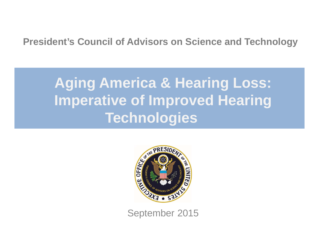#### **President's Council of Advisors on Science and Technology**

# **Aging America & Hearing Loss: Imperative of Improved Hearing Technologies**



September 2015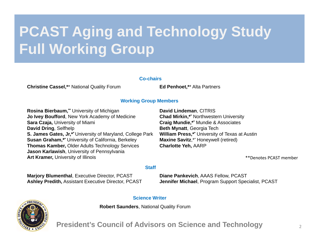# **PCAST Aging and Technology Study Full Working Group**

#### **Co-chairs**

**Christine Cassel,\***\* National Quality Forum **Ed Penhoet,\***\* Alta Partners

#### **Working Group Members**

**Rosina Bierbaum,\*\*** University of Michigan **Jo Ivey Boufford**, New York Academy of Medicine **Sara Czaja,** University of Miami **David Dring**, Selfhelp **S. James Gates, Jr,\*\*** University of Maryland, College Park **Susan Graham,\*\*** University of California, Berkeley **Thomas Kamber,** Older Adults Technology Services **Jason Karlawish**, University of Pennsylvania **Art Kramer,** University of Illinois

**David Lindeman**, CITRIS **Chad Mirkin,\*\*** Northwestern University **Craig Mundie,\*\*** Mundie & Associates **Beth Mynatt**, Georgia Tech **William Press,\*\*** University of Texas at Austin **Maxine Savitz**,\*\* Honeywell (retired) **Charlotte Yeh,** AARP

\*\*Denotes PCAST member

#### **Staff**

**Marjory Blumenthal**, Executive Director, PCAST **Ashley Predith,** Assistant Executive Director, PCAST **Diane Pankevich**, AAAS Fellow, PCAST **Jennifer Michael**, Program Support Specialist, PCAST

#### **Science Writer**

**Robert Saunders**, National Quality Forum



**President's Council of Advisors on Science and Technology**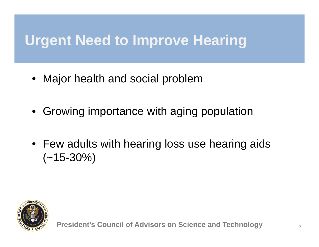## **Urgent Need to Improve Hearing**

- Major health and social problem
- Growing importance with aging population
- Few adults with hearing loss use hearing aids  $(-15-30\%)$

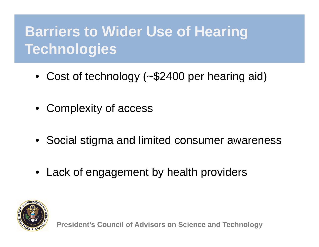# **Barriers to Wider Use of Hearing Technologies**

- Cost of technology (~\$2400 per hearing aid)
- Complexity of access
- Social stigma and limited consumer awareness
- Lack of engagement by health providers

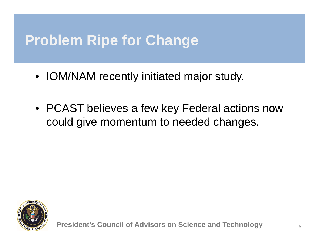### **Problem Ripe for Change**

- IOM/NAM recently initiated major study.
- PCAST believes a few key Federal actions now could give momentum to needed changes.

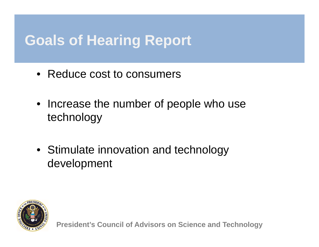### **Goals of Hearing Report**

- Reduce cost to consumers
- Increase the number of people who use technology
- Stimulate innovation and technology development



**President's Council of Advisors on Science and Technology**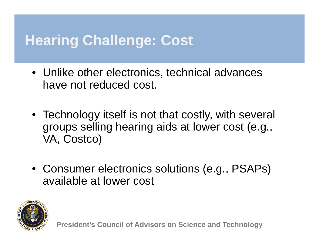### **Hearing Challenge: Cost**

- Unlike other electronics, technical advances have not reduced cost.
- Technology itself is not that costly, with several groups selling hearing aids at lower cost (e.g., VA, Costco)
- Consumer electronics solutions (e.g., PSAPs) available at lower cost

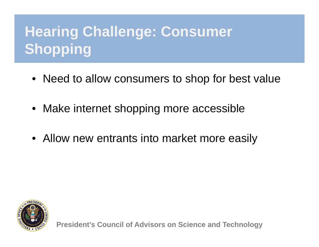# **Hearing Challenge: Consumer Shopping**

- Need to allow consumers to shop for best value
- Make internet shopping more accessible
- Allow new entrants into market more easily



**President's Council of Advisors on Science and Technology**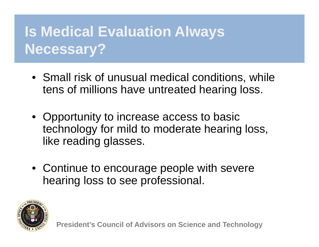# **Is Medical Evaluation Always Necessary?**

- Small risk of unusual medical conditions, while tens of millions have untreated hearing loss.
- Opportunity to increase access to basic technology for mild to moderate hearing loss, like reading glasses.
- Continue to encourage people with severe hearing loss to see professional.